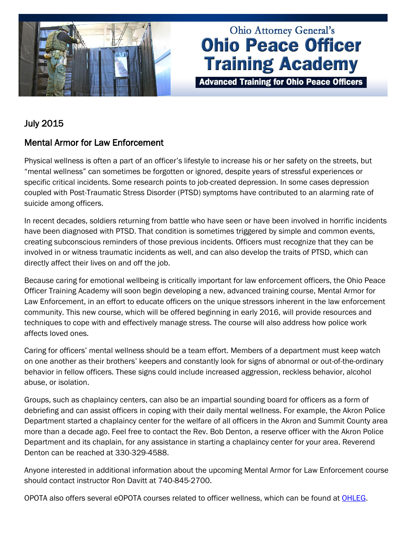

# **Ohio Attorney General's Ohio Peace Officer Training Academy**

**Advanced Training for Ohio Peace Officers** 

## July 2015

## Mental Armor for Law Enforcement

Physical wellness is often a part of an officer's lifestyle to increase his or her safety on the streets, but "mental wellness" can sometimes be forgotten or ignored, despite years of stressful experiences or specific critical incidents. Some research points to job-created depression. In some cases depression coupled with Post-Traumatic Stress Disorder (PTSD) symptoms have contributed to an alarming rate of suicide among officers.

In recent decades, soldiers returning from battle who have seen or have been involved in horrific incidents have been diagnosed with PTSD. That condition is sometimes triggered by simple and common events, creating subconscious reminders of those previous incidents. Officers must recognize that they can be involved in or witness traumatic incidents as well, and can also develop the traits of PTSD, which can directly affect their lives on and off the job.

Because caring for emotional wellbeing is critically important for law enforcement officers, the Ohio Peace Officer Training Academy will soon begin developing a new, advanced training course, Mental Armor for Law Enforcement, in an effort to educate officers on the unique stressors inherent in the law enforcement community. This new course, which will be offered beginning in early 2016, will provide resources and techniques to cope with and effectively manage stress. The course will also address how police work affects loved ones.

Caring for officers' mental wellness should be a team effort. Members of a department must keep watch on one another as their brothers' keepers and constantly look for signs of abnormal or out-of-the-ordinary behavior in fellow officers. These signs could include increased aggression, reckless behavior, alcohol abuse, or isolation.

Groups, such as chaplaincy centers, can also be an impartial sounding board for officers as a form of debriefing and can assist officers in coping with their daily mental wellness. For example, the Akron Police Department started a chaplaincy center for the welfare of all officers in the Akron and Summit County area more than a decade ago. Feel free to contact the Rev. Bob Denton, a reserve officer with the Akron Police Department and its chaplain, for any assistance in starting a chaplaincy center for your area. Reverend Denton can be reached at 330-329-4588.

Anyone interested in additional information about the upcoming Mental Armor for Law Enforcement course should contact instructor Ron Davitt at 740-845-2700.

OPOTA also offers several eOPOTA courses related to officer wellness, which can be found at [OHLEG.](https://www.ohleg.org/uniquesigc9e57055276f8934aa07c6674390f25e/uniquesig0/InternalSite/CustomUpdate/login.asp?resource_id=8C4AB6B9D49A4D7B968141D3B0FC963E&login_type=2&site_name=ohlegportal&secure=1&URLHASH=5fe75a79-3f32-413c-a35a-e45e493ffbad&orig_url=https%3a%2f%2fwww.ohleg.org%2f)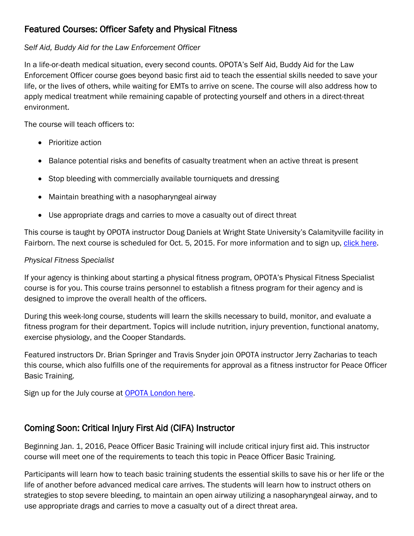## Featured Courses: Officer Safety and Physical Fitness

## *Self Aid, Buddy Aid for the Law Enforcement Officer*

In a life-or-death medical situation, every second counts. OPOTA's Self Aid, Buddy Aid for the Law Enforcement Officer course goes beyond basic first aid to teach the essential skills needed to save your life, or the lives of others, while waiting for EMTs to arrive on scene. The course will also address how to apply medical treatment while remaining capable of protecting yourself and others in a direct-threat environment.

The course will teach officers to:

- Prioritize action
- Balance potential risks and benefits of casualty treatment when an active threat is present
- Stop bleeding with commercially available tourniquets and dressing
- Maintain breathing with a nasopharyngeal airway
- Use appropriate drags and carries to move a casualty out of direct threat

This course is taught by OPOTA instructor Doug Daniels at Wright State University's Calamityville facility in Fairborn. The next course is scheduled for Oct. 5, 2015. For more information and to sign up, [click here.](http://www.ohioattorneygeneral.gov/Law-Enforcement/Ohio-Peace-Officer-Training-Academy/Course-Catalog/Course-Search.aspx?searchtext=buddy+aid&searchmode=allwords)

## *Physical Fitness Specialist*

If your agency is thinking about starting a physical fitness program, OPOTA's Physical Fitness Specialist course is for you. This course trains personnel to establish a fitness program for their agency and is designed to improve the overall health of the officers.

During this week-long course, students will learn the skills necessary to build, monitor, and evaluate a fitness program for their department. Topics will include nutrition, injury prevention, functional anatomy, exercise physiology, and the Cooper Standards.

Featured instructors Dr. Brian Springer and Travis Snyder join OPOTA instructor Jerry Zacharias to teach this course, which also fulfills one of the requirements for approval as a fitness instructor for Peace Officer Basic Training.

Sign up for the July course at **OPOTA London here.** 

## Coming Soon: Critical Injury First Aid (CIFA) Instructor

Beginning Jan. 1, 2016, Peace Officer Basic Training will include critical injury first aid. This instructor course will meet one of the requirements to teach this topic in Peace Officer Basic Training.

Participants will learn how to teach basic training students the essential skills to save his or her life or the life of another before advanced medical care arrives. The students will learn how to instruct others on strategies to stop severe bleeding, to maintain an open airway utilizing a nasopharyngeal airway, and to use appropriate drags and carries to move a casualty out of a direct threat area.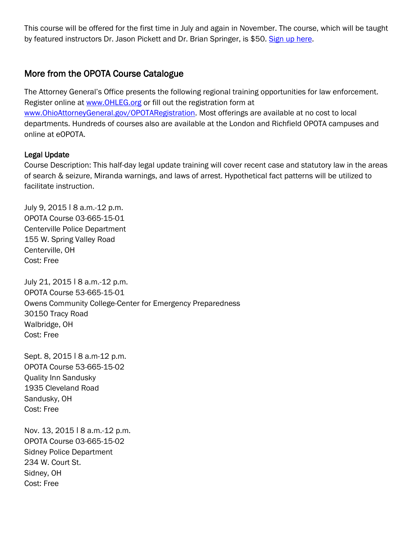This course will be offered for the first time in July and again in November. The course, which will be taught by featured instructors Dr. Jason Pickett and Dr. Brian Springer, is \$50. [Sign up here.](http://www.ohioattorneygeneral.gov/Law-Enforcement/Ohio-Peace-Officer-Training-Academy/Course-Catalog/Course-Search.aspx?searchtext=critical+injury+first+aid&searchmode=allwords)

### More from the OPOTA Course Catalogue

The Attorney General's Office presents the following regional training opportunities for law enforcement. Register online at [www.OHLEG.org](http://links.govdelivery.com/track?type=click&enid=ZWFzPTEmbWFpbGluZ2lkPTIwMTUwNTA4LjQ0ODE3MzIxJm1lc3NhZ2VpZD1NREItUFJELUJVTC0yMDE1MDUwOC40NDgxNzMyMSZkYXRhYmFzZWlkPTEwMDEmc2VyaWFsPTE3MTI0MTEwJmVtYWlsaWQ9TWFyay5Nb3JldHRpQG9oaW9hdHRvcm5leWdlbmVyYWwuZ292JnVzZXJpZD1NYXJrLk1vcmV0dGlAb2hpb2F0dG9ybmV5Z2VuZXJhbC5nb3YmZmw9JmV4dHJhPU11bHRpdmFyaWF0ZUlkPSYmJg==&&&102&&&https://www.OHLEG.org) or fill out the registration form at www.OhioAttorneyGeneral.gov/OPOTARegistration</u>. Most offerings are available at no cost to local departments. Hundreds of courses also are available at the London and Richfield OPOTA campuses and online at eOPOTA.

#### Legal Update

Course Description: This half-day legal update training will cover recent case and statutory law in the areas of search & seizure, Miranda warnings, and laws of arrest. Hypothetical fact patterns will be utilized to facilitate instruction.

July 9, 2015 | 8 a.m.-12 p.m. OPOTA Course 03-665-15-01 Centerville Police Department 155 W. Spring Valley Road Centerville, OH Cost: Free

July 21, 2015 | 8 a.m.-12 p.m. OPOTA Course 53-665-15-01 Owens Community College-Center for Emergency Preparedness 30150 Tracy Road Walbridge, OH Cost: Free

Sept. 8, 2015 | 8 a.m-12 p.m. OPOTA Course 53-665-15-02 Quality Inn Sandusky 1935 Cleveland Road Sandusky, OH Cost: Free

Nov. 13, 2015 | 8 a.m. 12 p.m. OPOTA Course 03-665-15-02 Sidney Police Department 234 W. Court St. Sidney, OH Cost: Free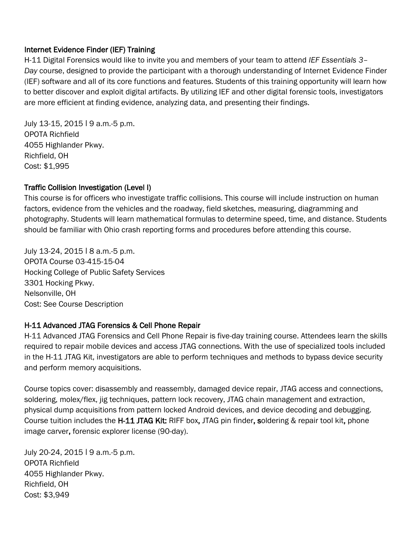#### Internet Evidence Finder (IEF) Training

H-11 Digital Forensics would like to invite you and members of your team to attend *IEF Essentials 3– Day* course, designed to provide the participant with a thorough understanding of Internet Evidence Finder (IEF) software and all of its core functions and features. Students of this training opportunity will learn how to better discover and exploit digital artifacts. By utilizing IEF and other digital forensic tools, investigators are more efficient at finding evidence, analyzing data, and presenting their findings.

July 13-15, 2015 | 9 a.m.-5 p.m. OPOTA Richfield 4055 Highlander Pkwy. Richfield, OH Cost: \$1,995

#### Traffic Collision Investigation (Level I)

This course is for officers who investigate traffic collisions. This course will include instruction on human factors, evidence from the vehicles and the roadway, field sketches, measuring, diagramming and photography. Students will learn mathematical formulas to determine speed, time, and distance. Students should be familiar with Ohio crash reporting forms and procedures before attending this course.

July 13-24, 2015 ǀ 8 a.m.-5 p.m. OPOTA Course 03-415-15-04 Hocking College of Public Safety Services 3301 Hocking Pkwy. Nelsonville, OH Cost: See Course Description

#### H-11 Advanced JTAG Forensics & Cell Phone Repair

H-11 Advanced JTAG Forensics and Cell Phone Repair is five-day training course. Attendees learn the skills required to repair mobile devices and access JTAG connections. With the use of specialized tools included in the H-11 JTAG Kit, investigators are able to perform techniques and methods to bypass device security and perform memory acquisitions.

Course topics cover: disassembly and reassembly, damaged device repair, JTAG access and connections, soldering, molex/flex, jig techniques, pattern lock recovery, JTAG chain management and extraction, physical dump acquisitions from pattern locked Android devices, and device decoding and debugging. Course tuition includes the H-11 JTAG Kit: RIFF box, JTAG pin finder, soldering & repair tool kit, phone image carver, forensic explorer license (90-day).

July 20-24, 2015 | 9 a.m.-5 p.m. OPOTA Richfield 4055 Highlander Pkwy. Richfield, OH Cost: \$3,949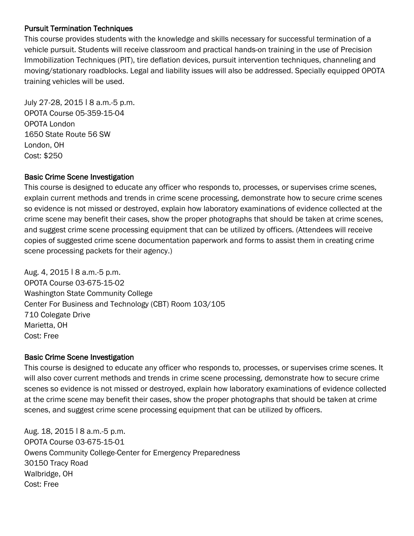#### Pursuit Termination Techniques

This course provides students with the knowledge and skills necessary for successful termination of a vehicle pursuit. Students will receive classroom and practical hands-on training in the use of Precision Immobilization Techniques (PIT), tire deflation devices, pursuit intervention techniques, channeling and moving/stationary roadblocks. Legal and liability issues will also be addressed. Specially equipped OPOTA training vehicles will be used.

July 27-28, 2015 | 8 a.m.-5 p.m. OPOTA Course 05-359-15-04 OPOTA London 1650 State Route 56 SW London, OH Cost: \$250

#### Basic Crime Scene Investigation

This course is designed to educate any officer who responds to, processes, or supervises crime scenes, explain current methods and trends in crime scene processing, demonstrate how to secure crime scenes so evidence is not missed or destroyed, explain how laboratory examinations of evidence collected at the crime scene may benefit their cases, show the proper photographs that should be taken at crime scenes, and suggest crime scene processing equipment that can be utilized by officers. (Attendees will receive copies of suggested crime scene documentation paperwork and forms to assist them in creating crime scene processing packets for their agency.)

Aug. 4, 2015 ǀ 8 a.m.-5 p.m. OPOTA Course 03-675-15-02 Washington State Community College Center For Business and Technology (CBT) Room 103/105 710 Colegate Drive Marietta, OH Cost: Free

#### Basic Crime Scene Investigation

This course is designed to educate any officer who responds to, processes, or supervises crime scenes. It will also cover current methods and trends in crime scene processing, demonstrate how to secure crime scenes so evidence is not missed or destroyed, explain how laboratory examinations of evidence collected at the crime scene may benefit their cases, show the proper photographs that should be taken at crime scenes, and suggest crime scene processing equipment that can be utilized by officers.

Aug. 18, 2015 | 8 a.m. -5 p.m. OPOTA Course 03-675-15-01 Owens Community College-Center for Emergency Preparedness 30150 Tracy Road Walbridge, OH Cost: Free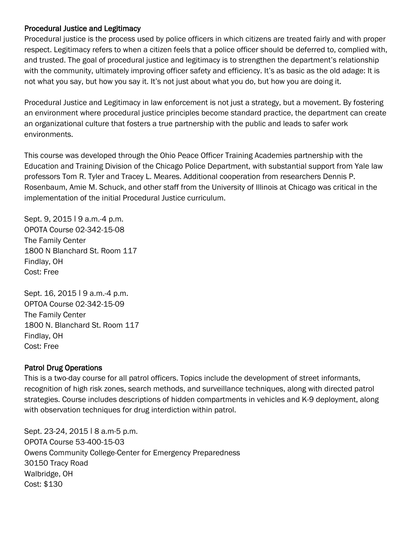#### Procedural Justice and Legitimacy

Procedural justice is the process used by police officers in which citizens are treated fairly and with proper respect. Legitimacy refers to when a citizen feels that a police officer should be deferred to, complied with, and trusted. The goal of procedural justice and legitimacy is to strengthen the department's relationship with the community, ultimately improving officer safety and efficiency. It's as basic as the old adage: It is not what you say, but how you say it. It's not just about what you do, but how you are doing it.

Procedural Justice and Legitimacy in law enforcement is not just a strategy, but a movement. By fostering an environment where procedural justice principles become standard practice, the department can create an organizational culture that fosters a true partnership with the public and leads to safer work environments.

This course was developed through the Ohio Peace Officer Training Academies partnership with the Education and Training Division of the Chicago Police Department, with substantial support from Yale law professors Tom R. Tyler and Tracey L. Meares. Additional cooperation from researchers Dennis P. Rosenbaum, Amie M. Schuck, and other staff from the University of Illinois at Chicago was critical in the implementation of the initial Procedural Justice curriculum.

Sept. 9, 2015 | 9 a.m.-4 p.m. OPOTA Course 02-342-15-08 The Family Center 1800 N Blanchard St. Room 117 Findlay, OH Cost: Free

Sept. 16, 2015 | 9 a.m.-4 p.m. OPTOA Course 02-342-15-09 The Family Center 1800 N. Blanchard St. Room 117 Findlay, OH Cost: Free

#### Patrol Drug Operations

This is a two-day course for all patrol officers. Topics include the development of street informants, recognition of high risk zones, search methods, and surveillance techniques, along with directed patrol strategies. Course includes descriptions of hidden compartments in vehicles and K-9 deployment, along with observation techniques for drug interdiction within patrol.

Sept. 23-24, 2015 | 8 a.m-5 p.m. OPOTA Course 53-400-15-03 Owens Community College-Center for Emergency Preparedness 30150 Tracy Road Walbridge, OH Cost: \$130